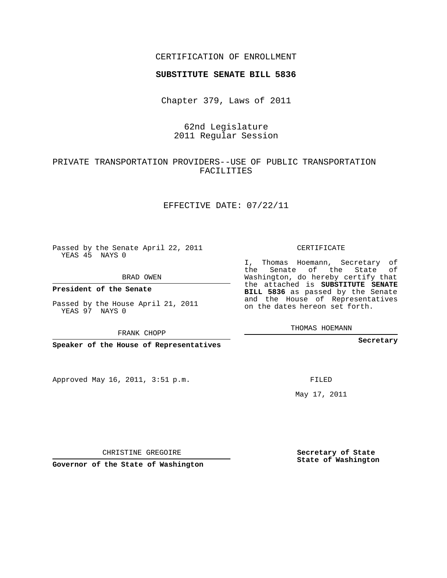### CERTIFICATION OF ENROLLMENT

#### **SUBSTITUTE SENATE BILL 5836**

Chapter 379, Laws of 2011

## 62nd Legislature 2011 Regular Session

## PRIVATE TRANSPORTATION PROVIDERS--USE OF PUBLIC TRANSPORTATION FACILITIES

### EFFECTIVE DATE: 07/22/11

Passed by the Senate April 22, 2011 YEAS 45 NAYS 0

BRAD OWEN

**President of the Senate**

Passed by the House April 21, 2011 YEAS 97 NAYS 0

FRANK CHOPP

**Speaker of the House of Representatives**

Approved May 16, 2011, 3:51 p.m.

CERTIFICATE

I, Thomas Hoemann, Secretary of the Senate of the State of Washington, do hereby certify that the attached is **SUBSTITUTE SENATE BILL 5836** as passed by the Senate and the House of Representatives on the dates hereon set forth.

THOMAS HOEMANN

**Secretary**

FILED

May 17, 2011

**Secretary of State State of Washington**

CHRISTINE GREGOIRE

**Governor of the State of Washington**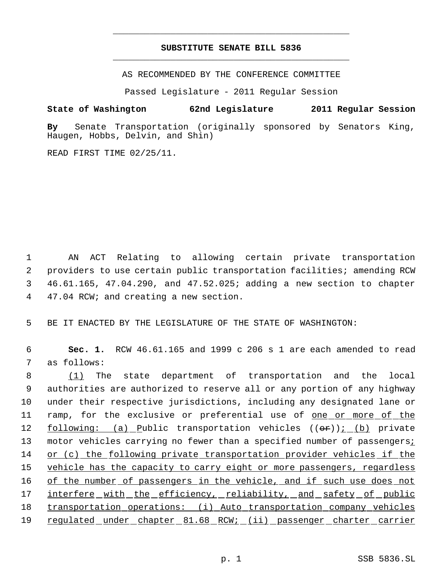# **SUBSTITUTE SENATE BILL 5836** \_\_\_\_\_\_\_\_\_\_\_\_\_\_\_\_\_\_\_\_\_\_\_\_\_\_\_\_\_\_\_\_\_\_\_\_\_\_\_\_\_\_\_\_\_

\_\_\_\_\_\_\_\_\_\_\_\_\_\_\_\_\_\_\_\_\_\_\_\_\_\_\_\_\_\_\_\_\_\_\_\_\_\_\_\_\_\_\_\_\_

AS RECOMMENDED BY THE CONFERENCE COMMITTEE

Passed Legislature - 2011 Regular Session

### **State of Washington 62nd Legislature 2011 Regular Session**

**By** Senate Transportation (originally sponsored by Senators King, Haugen, Hobbs, Delvin, and Shin)

READ FIRST TIME 02/25/11.

 AN ACT Relating to allowing certain private transportation providers to use certain public transportation facilities; amending RCW 46.61.165, 47.04.290, and 47.52.025; adding a new section to chapter 47.04 RCW; and creating a new section.

5 BE IT ENACTED BY THE LEGISLATURE OF THE STATE OF WASHINGTON:

 6 **Sec. 1.** RCW 46.61.165 and 1999 c 206 s 1 are each amended to read 7 as follows:

8 (1) The state department of transportation and the local 9 authorities are authorized to reserve all or any portion of any highway 10 under their respective jurisdictions, including any designated lane or 11 ramp, for the exclusive or preferential use of <u>one or more of the</u> 12 following: (a) Public transportation vehicles ((or)); (b) private 13 motor vehicles carrying no fewer than a specified number of passengersi 14 or (c) the following private transportation provider vehicles if the 15 vehicle has the capacity to carry eight or more passengers, regardless 16 of the number of passengers in the vehicle, and if such use does not 17 interfere with the efficiency, reliability, and safety of public 18 transportation operations: (i) Auto transportation company vehicles 19 regulated under chapter 81.68 RCW; (ii) passenger charter carrier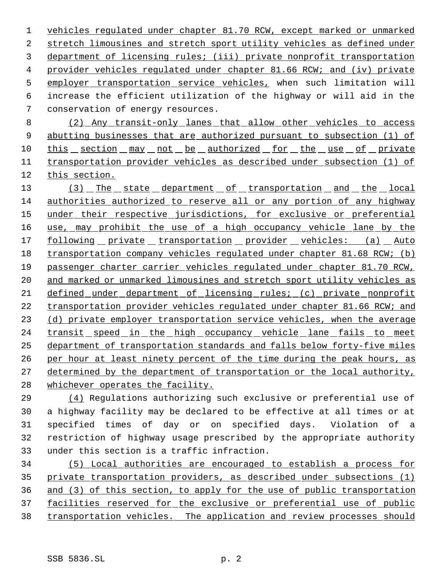vehicles regulated under chapter 81.70 RCW, except marked or unmarked stretch limousines and stretch sport utility vehicles as defined under department of licensing rules; (iii) private nonprofit transportation provider vehicles regulated under chapter 81.66 RCW; and (iv) private 5 employer transportation service vehicles, when such limitation will increase the efficient utilization of the highway or will aid in the conservation of energy resources.

 (2) Any transit-only lanes that allow other vehicles to access abutting businesses that are authorized pursuant to subsection (1) of 10 this section may not be authorized for the use of private transportation provider vehicles as described under subsection (1) of this section.

13 (3) The state department of transportation and the local authorities authorized to reserve all or any portion of any highway 15 under their respective jurisdictions, for exclusive or preferential 16 use, may prohibit the use of a high occupancy vehicle lane by the 17 following private transportation provider vehicles: (a) Auto transportation company vehicles regulated under chapter 81.68 RCW; (b) passenger charter carrier vehicles regulated under chapter 81.70 RCW, 20 and marked or unmarked limousines and stretch sport utility vehicles as defined under department of licensing rules; (c) private nonprofit transportation provider vehicles regulated under chapter 81.66 RCW; and 23 (d) private employer transportation service vehicles, when the average 24 transit speed in the high occupancy vehicle lane fails to meet department of transportation standards and falls below forty-five miles per hour at least ninety percent of the time during the peak hours, as determined by the department of transportation or the local authority, whichever operates the facility.

 (4) Regulations authorizing such exclusive or preferential use of a highway facility may be declared to be effective at all times or at specified times of day or on specified days. Violation of a restriction of highway usage prescribed by the appropriate authority under this section is a traffic infraction.

 (5) Local authorities are encouraged to establish a process for private transportation providers, as described under subsections (1) and (3) of this section, to apply for the use of public transportation facilities reserved for the exclusive or preferential use of public transportation vehicles. The application and review processes should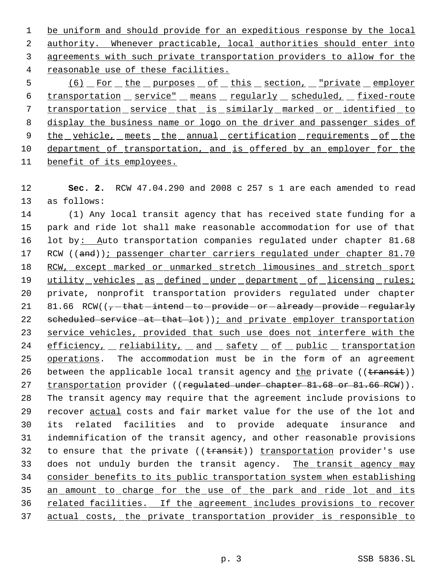1 be uniform and should provide for an expeditious response by the local authority. Whenever practicable, local authorities should enter into agreements with such private transportation providers to allow for the reasonable use of these facilities.

5 (6) For the purposes of this section, "private employer 6 transportation service" means regularly scheduled, fixed-route 7 transportation service that is similarly marked or identified to 8 display the business name or logo on the driver and passenger sides of 9 the vehicle, meets the annual certification requirements of the 10 department of transportation, and is offered by an employer for the 11 benefit of its employees.

12 **Sec. 2.** RCW 47.04.290 and 2008 c 257 s 1 are each amended to read 13 as follows:

14 (1) Any local transit agency that has received state funding for a 15 park and ride lot shall make reasonable accommodation for use of that 16 lot by: Auto transportation companies regulated under chapter 81.68 17 RCW ((and)); passenger charter carriers regulated under chapter 81.70 18 RCW, except marked or unmarked stretch limousines and stretch sport 19 utility vehicles as defined under department of licensing rules; 20 private, nonprofit transportation providers regulated under chapter 21 81.66 RCW( $\left(\frac{}{7} - \frac{\text{that}}{\text{intend}} - \text{to} - \frac{\text{provided}}{\text{or}} - \frac{\text{already}}{\text{provided}} - \frac{\text{regularly}}{\text{or}}\right)$ 22 scheduled service at that lot) ); and private employer transportation 23 service vehicles, provided that such use does not interfere with the 24 efficiency, reliability, and safety of public transportation 25 operations. The accommodation must be in the form of an agreement 26 between the applicable local transit agency and the private ((transit)) 27 transportation provider ((regulated under chapter 81.68 or 81.66 RCW)). 28 The transit agency may require that the agreement include provisions to 29 recover actual costs and fair market value for the use of the lot and 30 its related facilities and to provide adequate insurance and 31 indemnification of the transit agency, and other reasonable provisions 32 to ensure that the private ((transit)) transportation provider's use 33 does not unduly burden the transit agency. The transit agency may 34 consider benefits to its public transportation system when establishing 35 an amount to charge for the use of the park and ride lot and its 36 related facilities. If the agreement includes provisions to recover 37 actual costs, the private transportation provider is responsible to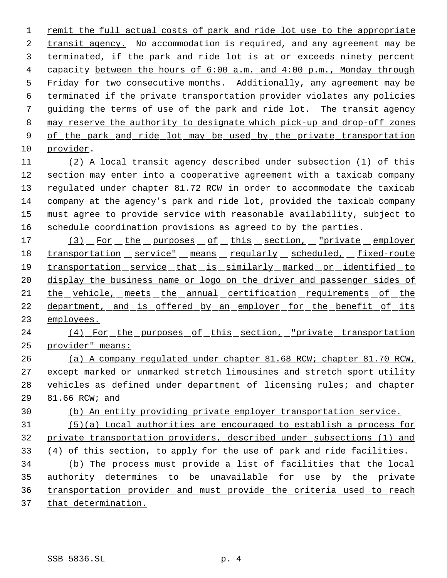1 remit the full actual costs of park and ride lot use to the appropriate 2 transit agency. No accommodation is required, and any agreement may be terminated, if the park and ride lot is at or exceeds ninety percent 4 capacity between the hours of 6:00 a.m. and 4:00 p.m., Monday through Friday for two consecutive months. Additionally, any agreement may be terminated if the private transportation provider violates any policies guiding the terms of use of the park and ride lot. The transit agency may reserve the authority to designate which pick-up and drop-off zones 9 of the park and ride lot may be used by the private transportation provider.

 (2) A local transit agency described under subsection (1) of this section may enter into a cooperative agreement with a taxicab company regulated under chapter 81.72 RCW in order to accommodate the taxicab company at the agency's park and ride lot, provided the taxicab company must agree to provide service with reasonable availability, subject to schedule coordination provisions as agreed to by the parties.

17 (3) For the purposes of this section, "private employer 18 transportation service" means regularly scheduled, fixed-route transportation service that is similarly marked or identified to display the business name or logo on the driver and passenger sides of the vehicle, meets the annual certification requirements of the 22 department, and is offered by an employer for the benefit of its employees.

24 (4) For the purposes of this section, "private transportation provider" means:

 (a) A company regulated under chapter 81.68 RCW; chapter 81.70 RCW, except marked or unmarked stretch limousines and stretch sport utility 28 vehicles as defined under department of licensing rules; and chapter 81.66 RCW; and

(b) An entity providing private employer transportation service.

 (5)(a) Local authorities are encouraged to establish a process for private transportation providers, described under subsections (1) and (4) of this section, to apply for the use of park and ride facilities.

 (b) The process must provide a list of facilities that the local 35 authority determines to be unavailable for use by the private transportation provider and must provide the criteria used to reach that determination.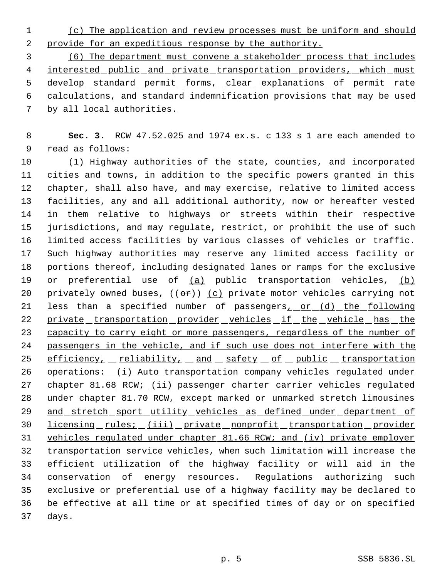(c) The application and review processes must be uniform and should provide for an expeditious response by the authority.

 (6) The department must convene a stakeholder process that includes 4 interested public and private transportation providers, which must 5 develop standard permit forms, clear explanations of permit rate calculations, and standard indemnification provisions that may be used by all local authorities.

 **Sec. 3.** RCW 47.52.025 and 1974 ex.s. c 133 s 1 are each amended to read as follows:

10 (1) Highway authorities of the state, counties, and incorporated cities and towns, in addition to the specific powers granted in this chapter, shall also have, and may exercise, relative to limited access facilities, any and all additional authority, now or hereafter vested in them relative to highways or streets within their respective jurisdictions, and may regulate, restrict, or prohibit the use of such limited access facilities by various classes of vehicles or traffic. Such highway authorities may reserve any limited access facility or portions thereof, including designated lanes or ramps for the exclusive 19 or preferential use of (a) public transportation vehicles, (b) 20 privately owned buses,  $((\theta \hat{r}))$  (c) private motor vehicles carrying not 21 less than a specified number of passengers<sub>1</sub> or (d) the following 22 private transportation provider vehicles if the vehicle has the 23 capacity to carry eight or more passengers, regardless of the number of passengers in the vehicle, and if such use does not interfere with the 25 efficiency, reliability, and safety of public transportation operations: (i) Auto transportation company vehicles regulated under 27 chapter 81.68 RCW; (ii) passenger charter carrier vehicles regulated under chapter 81.70 RCW, except marked or unmarked stretch limousines 29 and stretch sport utility vehicles as defined under department of 30 licensing rules; (iii) private nonprofit transportation provider vehicles regulated under chapter 81.66 RCW; and (iv) private employer 32 transportation service vehicles, when such limitation will increase the efficient utilization of the highway facility or will aid in the conservation of energy resources. Regulations authorizing such exclusive or preferential use of a highway facility may be declared to be effective at all time or at specified times of day or on specified days.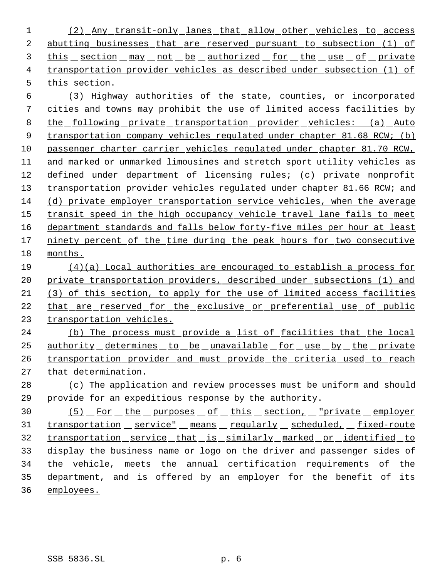(2) Any transit-only lanes that allow other vehicles to access abutting businesses that are reserved pursuant to subsection (1) of this section may not be authorized for the use of private transportation provider vehicles as described under subsection (1) of this section.

 (3) Highway authorities of the state, counties, or incorporated cities and towns may prohibit the use of limited access facilities by the following private transportation provider vehicles: (a) Auto 9 transportation company vehicles regulated under chapter 81.68 RCW; (b) passenger charter carrier vehicles regulated under chapter 81.70 RCW, and marked or unmarked limousines and stretch sport utility vehicles as defined under department of licensing rules; (c) private nonprofit transportation provider vehicles regulated under chapter 81.66 RCW; and (d) private employer transportation service vehicles, when the average 15 transit speed in the high occupancy vehicle travel lane fails to meet department standards and falls below forty-five miles per hour at least 17 ninety percent of the time during the peak hours for two consecutive months.

 (4)(a) Local authorities are encouraged to establish a process for private transportation providers, described under subsections (1) and (3) of this section, to apply for the use of limited access facilities that are reserved for the exclusive or preferential use of public transportation vehicles.

 (b) The process must provide a list of facilities that the local authority determines to be unavailable for use by the private transportation provider and must provide the criteria used to reach that determination.

 (c) The application and review processes must be uniform and should provide for an expeditious response by the authority.

30 (5) For the purposes of this section, "private employer 31 transportation service" means regularly scheduled, fixed-route transportation service that is similarly marked or identified to display the business name or logo on the driver and passenger sides of 34 the vehicle, meets the annual certification requirements of the 35 department, and is offered by an employer for the benefit of its employees.